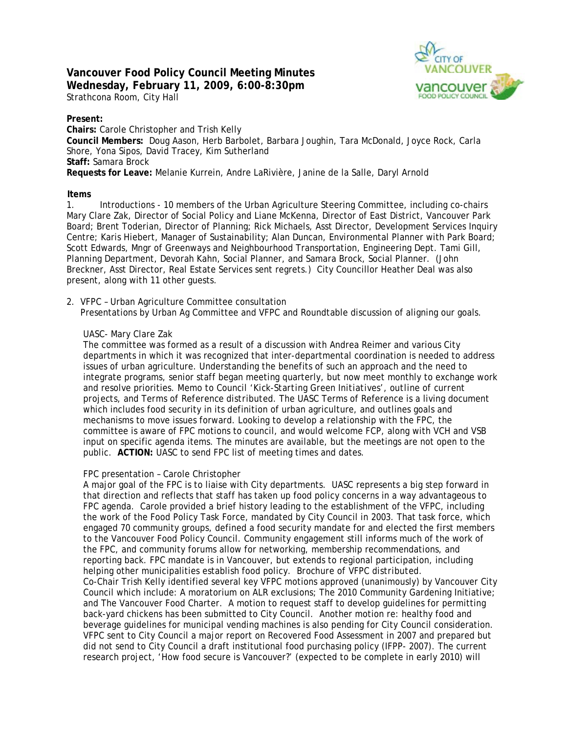# **Vancouver Food Policy Council Meeting Minutes Wednesday, February 11, 2009, 6:00-8:30pm**  Strathcona Room, City Hall



## **Present:**

**Chairs:** Carole Christopher and Trish Kelly **Council Members:** Doug Aason, Herb Barbolet, Barbara Joughin, Tara McDonald, Joyce Rock, Carla Shore, Yona Sipos, David Tracey, Kim Sutherland **Staff:** Samara Brock **Requests for Leave:** Melanie Kurrein, Andre LaRivière, Janine de la Salle, Daryl Arnold

## **Items**

1. Introductions - 10 members of the Urban Agriculture Steering Committee, including co-chairs Mary Clare Zak, Director of Social Policy and Liane McKenna, Director of East District, Vancouver Park Board; Brent Toderian, Director of Planning; Rick Michaels, Asst Director, Development Services Inquiry Centre; Karis Hiebert, Manager of Sustainability; Alan Duncan, Environmental Planner with Park Board; Scott Edwards, Mngr of Greenways and Neighbourhood Transportation, Engineering Dept. Tami Gill, Planning Department, Devorah Kahn, Social Planner, and Samara Brock, Social Planner. (John Breckner, Asst Director, Real Estate Services sent regrets.) City Councillor Heather Deal was also present, along with 11 other guests.

2. VFPC – Urban Agriculture Committee consultation

Presentations by Urban Ag Committee and VFPC and Roundtable discussion of aligning our goals.

### UASC- Mary Clare Zak

The committee was formed as a result of a discussion with Andrea Reimer and various City departments in which it was recognized that inter-departmental coordination is needed to address issues of urban agriculture. Understanding the benefits of such an approach and the need to integrate programs, senior staff began meeting quarterly, but now meet monthly to exchange work and resolve priorities. *Memo to Council 'Kick-Starting Green Initiatives', outline of current projects, and Terms of Reference distributed.* The UASC Terms of Reference is a living document which includes food security in its definition of urban agriculture, and outlines goals and mechanisms to move issues forward. Looking to develop a relationship with the FPC, the committee is aware of FPC motions to council, and would welcome FCP, along with VCH and VSB input on specific agenda items. The minutes are available, but the meetings are not open to the public. **ACTION:** UASC to send FPC list of meeting times and dates.

### FPC presentation – Carole Christopher

A major goal of the FPC is to liaise with City departments. UASC represents a big step forward in that direction and reflects that staff has taken up food policy concerns in a way advantageous to FPC agenda. Carole provided a brief history leading to the establishment of the VFPC, including the work of the Food Policy Task Force, mandated by City Council in 2003. That task force, which engaged 70 community groups, defined a food security mandate for and elected the first members to the Vancouver Food Policy Council. Community engagement still informs much of the work of the FPC, and community forums allow for networking, membership recommendations, and reporting back. FPC mandate is in Vancouver, but extends to regional participation, including helping other municipalities establish food policy. *Brochure of VFPC distributed.* Co-Chair Trish Kelly identified several key VFPC motions approved (unanimously) by Vancouver City Council which include: A moratorium on ALR exclusions; The 2010 Community Gardening Initiative; and The Vancouver Food Charter. A motion to request staff to develop guidelines for permitting back-yard chickens has been submitted to City Council. Another motion re: healthy food and beverage guidelines for municipal vending machines is also pending for City Council consideration. VFPC sent to City Council a major report on Recovered Food Assessment in 2007 and prepared but did not send to City Council a draft institutional food purchasing policy (IFPP- 2007). The current research project, 'How food secure is Vancouver?' (expected to be complete in early 2010) will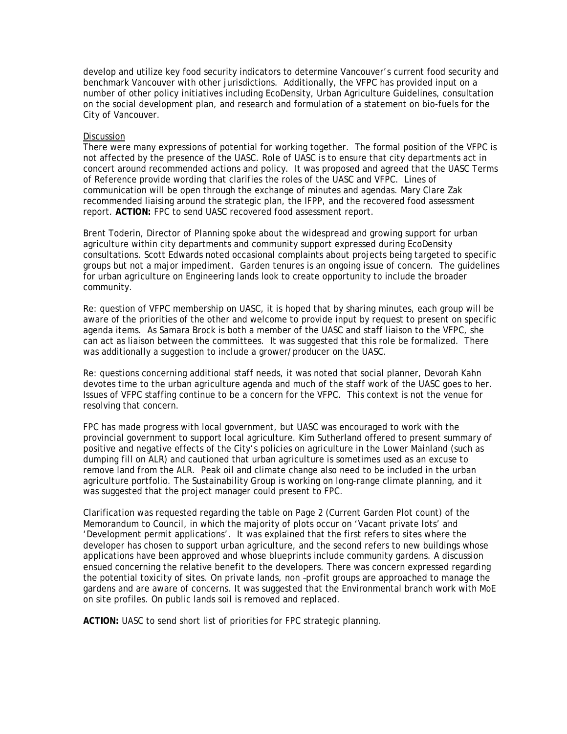develop and utilize key food security indicators to determine Vancouver's current food security and benchmark Vancouver with other jurisdictions. Additionally, the VFPC has provided input on a number of other policy initiatives including EcoDensity, Urban Agriculture Guidelines, consultation on the social development plan, and research and formulation of a statement on bio-fuels for the City of Vancouver.

#### **Discussion**

There were many expressions of potential for working together. The formal position of the VFPC is not affected by the presence of the UASC. Role of UASC is to ensure that city departments act in concert around recommended actions and policy. It was proposed and agreed that the UASC Terms of Reference provide wording that clarifies the roles of the UASC and VFPC. Lines of communication will be open through the exchange of minutes and agendas. Mary Clare Zak recommended liaising around the strategic plan, the IFPP, and the recovered food assessment report. **ACTION:** FPC to send UASC recovered food assessment report.

Brent Toderin, Director of Planning spoke about the widespread and growing support for urban agriculture within city departments and community support expressed during EcoDensity consultations. Scott Edwards noted occasional complaints about projects being targeted to specific groups but not a major impediment. Garden tenures is an ongoing issue of concern. The guidelines for urban agriculture on Engineering lands look to create opportunity to include the broader community.

Re: question of VFPC membership on UASC, it is hoped that by sharing minutes, each group will be aware of the priorities of the other and welcome to provide input by request to present on specific agenda items. As Samara Brock is both a member of the UASC and staff liaison to the VFPC, she can act as liaison between the committees. It was suggested that this role be formalized. There was additionally a suggestion to include a grower/producer on the UASC.

Re: questions concerning additional staff needs, it was noted that social planner, Devorah Kahn devotes time to the urban agriculture agenda and much of the staff work of the UASC goes to her. Issues of VFPC staffing continue to be a concern for the VFPC. This context is not the venue for resolving that concern.

FPC has made progress with local government, but UASC was encouraged to work with the provincial government to support local agriculture. Kim Sutherland offered to present summary of positive and negative effects of the City's policies on agriculture in the Lower Mainland (such as dumping fill on ALR) and cautioned that urban agriculture is sometimes used as an excuse to remove land from the ALR. Peak oil and climate change also need to be included in the urban agriculture portfolio. The Sustainability Group is working on long-range climate planning, and it was suggested that the project manager could present to FPC.

Clarification was requested regarding the table on Page 2 (Current Garden Plot count) of the Memorandum to Council, in which the majority of plots occur on 'Vacant private lots' and 'Development permit applications'. It was explained that the first refers to sites where the developer has chosen to support urban agriculture, and the second refers to new buildings whose applications have been approved and whose blueprints include community gardens. A discussion ensued concerning the relative benefit to the developers. There was concern expressed regarding the potential toxicity of sites. On private lands, non –profit groups are approached to manage the gardens and are aware of concerns. It was suggested that the Environmental branch work with MoE on site profiles. On public lands soil is removed and replaced.

**ACTION:** UASC to send short list of priorities for FPC strategic planning.